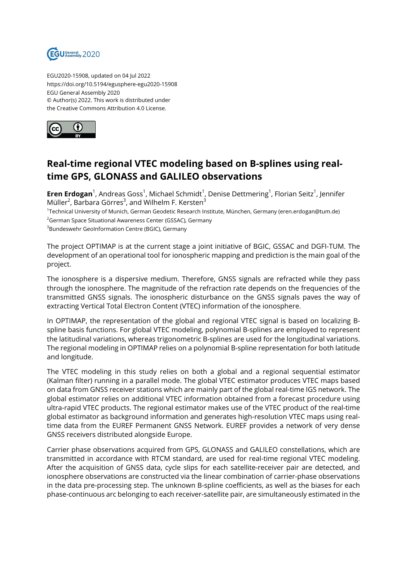

EGU2020-15908, updated on 04 Jul 2022 https://doi.org/10.5194/egusphere-egu2020-15908 EGU General Assembly 2020 © Author(s) 2022. This work is distributed under the Creative Commons Attribution 4.0 License.



## **Real-time regional VTEC modeling based on B-splines using realtime GPS, GLONASS and GALILEO observations**

 $\sf{Eren\ Erdogan}^1$ , Andreas Goss $^1$ , Michael Schmidt $^1$ , Denise Dettmering $^1$ , Florian Seitz $^1$ , Jennifer Müller $^2$ , Barbara Görres $^3$ , and Wilhelm F. Kersten $^3$ 

1 Technical University of Munich, German Geodetic Research Institute, München, Germany (eren.erdogan@tum.de) <sup>2</sup>German Space Situational Awareness Center (GSSAC), Germany

<sup>3</sup>Bundeswehr GeoInformation Centre (BGIC), Germany

The project OPTIMAP is at the current stage a joint initiative of BGIC, GSSAC and DGFI-TUM. The development of an operational tool for ionospheric mapping and prediction is the main goal of the project.

The ionosphere is a dispersive medium. Therefore, GNSS signals are refracted while they pass through the ionosphere. The magnitude of the refraction rate depends on the frequencies of the transmitted GNSS signals. The ionospheric disturbance on the GNSS signals paves the way of extracting Vertical Total Electron Content (VTEC) information of the ionosphere.

In OPTIMAP, the representation of the global and regional VTEC signal is based on localizing Bspline basis functions. For global VTEC modeling, polynomial B-splines are employed to represent the latitudinal variations, whereas trigonometric B-splines are used for the longitudinal variations. The regional modeling in OPTIMAP relies on a polynomial B-spline representation for both latitude and longitude.

The VTEC modeling in this study relies on both a global and a regional sequential estimator (Kalman filter) running in a parallel mode. The global VTEC estimator produces VTEC maps based on data from GNSS receiver stations which are mainly part of the global real-time IGS network. The global estimator relies on additional VTEC information obtained from a forecast procedure using ultra-rapid VTEC products. The regional estimator makes use of the VTEC product of the real-time global estimator as background information and generates high-resolution VTEC maps using realtime data from the EUREF Permanent GNSS Network. EUREF provides a network of very dense GNSS receivers distributed alongside Europe.

Carrier phase observations acquired from GPS, GLONASS and GALILEO constellations, which are transmitted in accordance with RTCM standard, are used for real-time regional VTEC modeling. After the acquisition of GNSS data, cycle slips for each satellite-receiver pair are detected, and ionosphere observations are constructed via the linear combination of carrier-phase observations in the data pre-processing step. The unknown B-spline coefficients, as well as the biases for each phase-continuous arc belonging to each receiver-satellite pair, are simultaneously estimated in the